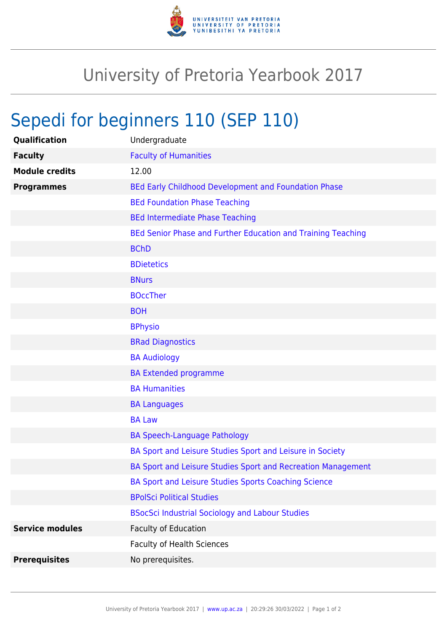

## University of Pretoria Yearbook 2017

## Sepedi for beginners 110 (SEP 110)

| Qualification          | Undergraduate                                                |
|------------------------|--------------------------------------------------------------|
| <b>Faculty</b>         | <b>Faculty of Humanities</b>                                 |
| <b>Module credits</b>  | 12.00                                                        |
| <b>Programmes</b>      | BEd Early Childhood Development and Foundation Phase         |
|                        | <b>BEd Foundation Phase Teaching</b>                         |
|                        | <b>BEd Intermediate Phase Teaching</b>                       |
|                        | BEd Senior Phase and Further Education and Training Teaching |
|                        | <b>BChD</b>                                                  |
|                        | <b>BDietetics</b>                                            |
|                        | <b>BNurs</b>                                                 |
|                        | <b>BOccTher</b>                                              |
|                        | <b>BOH</b>                                                   |
|                        | <b>BPhysio</b>                                               |
|                        | <b>BRad Diagnostics</b>                                      |
|                        | <b>BA Audiology</b>                                          |
|                        | <b>BA Extended programme</b>                                 |
|                        | <b>BA Humanities</b>                                         |
|                        | <b>BA Languages</b>                                          |
|                        | <b>BA Law</b>                                                |
|                        | <b>BA Speech-Language Pathology</b>                          |
|                        | BA Sport and Leisure Studies Sport and Leisure in Society    |
|                        | BA Sport and Leisure Studies Sport and Recreation Management |
|                        | BA Sport and Leisure Studies Sports Coaching Science         |
|                        | <b>BPolSci Political Studies</b>                             |
|                        | <b>BSocSci Industrial Sociology and Labour Studies</b>       |
| <b>Service modules</b> | Faculty of Education                                         |
|                        | <b>Faculty of Health Sciences</b>                            |
| <b>Prerequisites</b>   | No prerequisites.                                            |
|                        |                                                              |